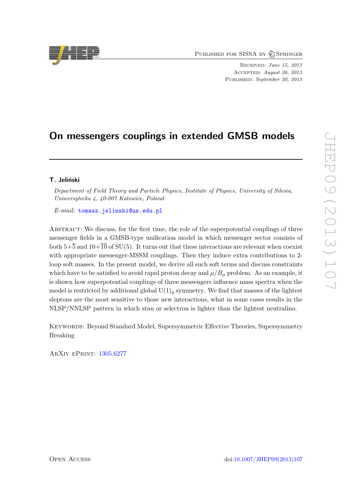PUBLISHED FOR SISSA BY 2 SPRINGER

Received: June 15, 2013 Accepted: August 26, 2013 PUBLISHED: September 20, 2013

# On messengers couplings in extended GMSB models

## T. Jeliński

Department of Field Theory and Particle Physics, Institute of Physics, University of Silesia, Uniwersytecka 4, 40-007 Katowice, Poland

E-mail: [tomasz.jelinski@us.edu.pl](mailto:tomasz.jelinski@us.edu.pl)

ABSTRACT: We discuss, for the first time, the role of the superpotential couplings of three messenger fields in a GMSB-type unification model in which messenger sector consists of both  $5+\overline{5}$  and  $10+\overline{10}$  of SU(5). It turns out that these interactions are relevant when coexist with appropriate messenger-MSSM couplings. Then they induce extra contributions to 2 loop soft masses. In the present model, we derive all such soft terms and discuss constraints which have to be satisfied to avoid rapid proton decay and  $\mu/B_u$  problem. As an example, it is shown how superpotential couplings of three messengers influence mass spectra when the model is restricted by additional global  $U(1)<sub>q</sub>$  symmetry. We find that masses of the lightest sleptons are the most sensitive to those new interactions, what in some cases results in the NLSP/NNLSP pattern in which stau or selectron is lighter than the lightest neutralino.

Keywords: Beyond Standard Model, Supersymmetric Effective Theories, Supersymmetry Breaking

ArXiv ePrint: [1305.6277](http://arxiv.org/abs/1305.6277)

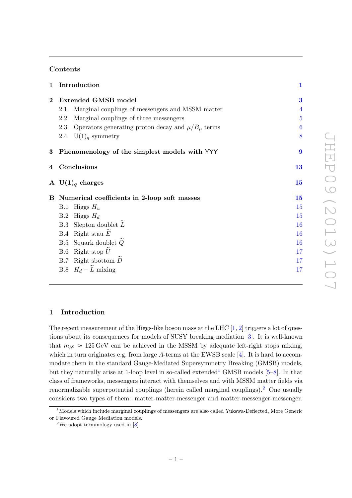## Contents

| $\mathbf{1}$ | Introduction                                                     | $\mathbf{1}$     |
|--------------|------------------------------------------------------------------|------------------|
| $\bf{2}$     | <b>Extended GMSB model</b>                                       | 3                |
|              | Marginal couplings of messengers and MSSM matter<br>2.1          | $\overline{4}$   |
|              | $2.2\,$<br>Marginal couplings of three messengers                | $\overline{5}$   |
|              | Operators generating proton decay and $\mu/B_{\mu}$ terms<br>2.3 | 6                |
|              | $U(1)$ <sub><i>a</i></sub> symmetry<br>2.4                       | 8                |
| $\bf{3}$     | Phenomenology of the simplest models with YYY                    | $\boldsymbol{9}$ |
|              | 4 Conclusions                                                    | 13               |
|              | A $U(1)q$ charges                                                | 15               |
|              | B Numerical coefficients in 2-loop soft masses                   | 15               |
|              | Higgs $H_u$<br>B.1                                               | 15               |
|              | Higgs $H_d$<br>B.2                                               | 15               |
|              | B.3 Slepton doublet $L$                                          | 16               |
|              | B.4 Right stau $E$                                               | 16               |
|              | Squark doublet $\widetilde{Q}$<br>B.5                            | 16               |
|              | Right stop $U$<br>B.6                                            | 17               |
|              | $B.7$ Right sbottom $D$                                          | 17               |
|              | B.8 $H_d - \tilde{L}$ mixing                                     | 17               |
|              |                                                                  |                  |

## <span id="page-1-0"></span>1 Introduction

The recent measurement of the Higgs-like boson mass at the LHC  $[1, 2]$  $[1, 2]$  $[1, 2]$  triggers a lot of questions about its consequences for models of SUSY breaking mediation [\[3\]](#page-18-2). It is well-known that  $m_{h0} \approx 125 \,\text{GeV}$  can be achieved in the MSSM by adequate left-right stops mixing, which in turn originates e.g. from large A-terms at the EWSB scale [\[4\]](#page-18-3). It is hard to accommodate them in the standard Gauge-Mediated Supersymmetry Breaking (GMSB) models, but they naturally arise at [1](#page-1-1)-loop level in so-called extended<sup>1</sup> GMSB models  $[5-8]$  $[5-8]$ . In that class of frameworks, messengers interact with themselves and with MSSM matter fields via renormalizable superpotential couplings (herein called marginal couplings).<sup>[2](#page-1-2)</sup> One usually considers two types of them: matter-matter-messenger and matter-messenger-messenger.

<span id="page-1-1"></span><sup>&</sup>lt;sup>1</sup>Models which include marginal couplings of messengers are also called Yukawa-Deflected, More Generic or Flavoured Gauge Mediation models.

<span id="page-1-2"></span><sup>&</sup>lt;sup>2</sup>We adopt terminology used in  $[8]$ .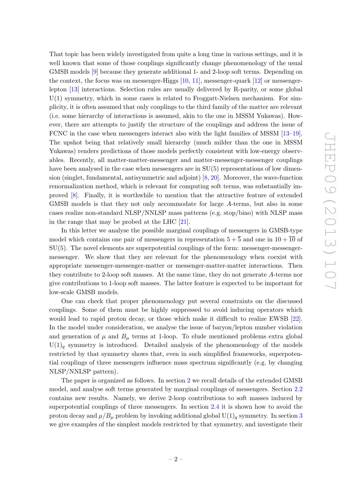That topic has been widely investigated from quite a long time in various settings, and it is well known that some of those couplings significantly change phenomenology of the usual GMSB models [\[9\]](#page-19-1) because they generate additional 1- and 2-loop soft terms. Depending on the context, the focus was on messenger-Higgs [\[10,](#page-19-2) [11\]](#page-19-3), messenger-quark [\[12\]](#page-19-4) or messengerlepton [\[13\]](#page-19-5) interactions. Selection rules are usually delivered by R-parity, or some global  $U(1)$  symmetry, which in some cases is related to Froggatt-Nielsen mechanism. For simplicity, it is often assumed that only couplings to the third family of the matter are relevant (i.e. some hierarchy of interactions is assumed, akin to the one in MSSM Yukawas). However, there are attempts to justify the structure of the couplings and address the issue of FCNC in the case when messengers interact also with the light families of MSSM [\[13–](#page-19-5)[19\]](#page-19-6). The upshot being that relatively small hierarchy (much milder than the one in MSSM Yukawas) renders predictions of those models perfectly consistent with low-energy observables. Recently, all matter-matter-messenger and matter-messenger-messenger couplings have been analysed in the case when messengers are in  $SU(5)$  representations of low dimension (singlet, fundamental, antisymmetric and adjoint) [\[8,](#page-19-0) [20\]](#page-19-7). Moreover, the wave-function renormalization method, which is relevant for computing soft terms, was substantially improved [\[8\]](#page-19-0). Finally, it is worthwhile to mention that the attractive feature of extended GMSB models is that they not only accommodate for large A-terms, but also in some cases realize non-standard NLSP/NNLSP mass patterns (e.g. stop/bino) with NLSP mass in the range that may be probed at the LHC [\[21\]](#page-19-8).

In this letter we analyse the possible marginal couplings of messengers in GMSB-type model which contains one pair of messengers in representation  $5+\overline{5}$  and one in  $10+\overline{10}$  of SU(5). The novel elements are superpotential couplings of the form: messenger-messengermessenger. We show that they are relevant for the phenomenology when coexist with appropriate messenger-messenger-matter or messenger-matter-matter interactions. Then they contribute to 2-loop soft masses. At the same time, they do not generate A-terms nor give contributions to 1-loop soft masses. The latter feature is expected to be important for low-scale GMSB models.

One can check that proper phenomenology put several constraints on the discussed couplings. Some of them must be highly suppressed to avoid inducing operators which would lead to rapid proton decay, or those which make it difficult to realize EWSB [\[22\]](#page-19-9). In the model under consideration, we analyse the issue of baryon/lepton number violation and generation of  $\mu$  and  $B_{\mu}$  terms at 1-loop. To elude mentioned problems extra global  $U(1)<sub>q</sub>$  symmetry is introduced. Detailed analysis of the phenomenology of the models restricted by that symmetry shows that, even in such simplified frameworks, superpotential couplings of three messengers influence mass spectrum significantly (e.g. by changing NLSP/NNLSP pattern).

The paper is organized as follows. In section [2](#page-3-0) we recall details of the extended GMSB model, and analyse soft terms generated by marginal couplings of messengers. Section [2.2](#page-5-0) contains new results. Namely, we derive 2-loop contributions to soft masses induced by superpotential couplings of three messengers. In section [2.4](#page-8-0) it is shown how to avoid the proton decay and  $\mu/B_\mu$  problem by invoking additional global  $U(1)_q$  symmetry. In section [3](#page-9-0) we give examples of the simplest models restricted by that symmetry, and investigate their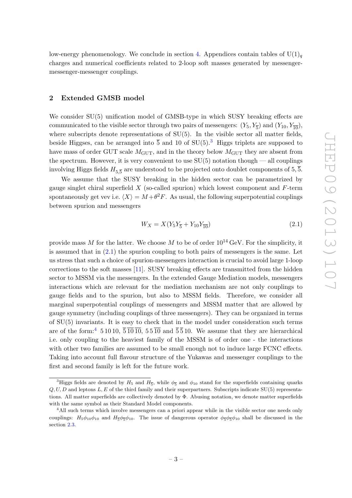low-energy phenomenology. We conclude in section [4.](#page-13-0) Appendices contain tables of  $U(1)<sub>q</sub>$ charges and numerical coefficients related to 2-loop soft masses generated by messengermessenger-messenger couplings.

### <span id="page-3-0"></span>2 Extended GMSB model

We consider  $SU(5)$  unification model of GMSB-type in which SUSY breaking effects are communicated to the visible sector through two pairs of messengers:  $(Y_5, Y_{\overline{5}})$  and  $(Y_{10}, Y_{\overline{10}})$ , where subscripts denote representations of  $SU(5)$ . In the visible sector all matter fields, beside Higgses, can be arranged into  $\overline{5}$  and 10 of SU(5).<sup>[3](#page-3-1)</sup> Higgs triplets are supposed to have mass of order GUT scale  $M_{\text{GUT}}$ , and in the theory below  $M_{\text{GUT}}$  they are absent from the spectrum. However, it is very convenient to use  $SU(5)$  notation though — all couplings involving Higgs fields  $H_{5,\overline{5}}$  are understood to be projected onto doublet components of 5,  $\overline{5}.$ 

We assume that the SUSY breaking in the hidden sector can be parametrized by gauge singlet chiral superfield  $X$  (so-called spurion) which lowest component and  $F$ -term spontaneously get vev i.e.  $\langle X \rangle = M + \theta^2 F$ . As usual, the following superpotential couplings between spurion and messengers

<span id="page-3-2"></span>
$$
W_X = X(Y_5Y_{\overline{5}} + Y_{10}Y_{\overline{10}})
$$
\n(2.1)

provide mass M for the latter. We choose M to be of order  $10^{14}$  GeV. For the simplicity, it is assumed that in  $(2.1)$  the spurion coupling to both pairs of messengers is the same. Let us stress that such a choice of spurion-messengers interaction is crucial to avoid large 1-loop corrections to the soft masses [\[11\]](#page-19-3). SUSY breaking effects are transmitted from the hidden sector to MSSM via the messengers. In the extended Gauge Mediation models, messengers interactions which are relevant for the mediation mechanism are not only couplings to gauge fields and to the spurion, but also to MSSM fields. Therefore, we consider all marginal superpotential couplings of messengers and MSSM matter that are allowed by gauge symmetry (including couplings of three messengers). They can be organized in terms of SU(5) invariants. It is easy to check that in the model under consideration such terms are of the form:<sup>[4](#page-3-3)</sup> 5 10 10,  $\overline{5}\,\overline{10}\,\overline{10}$ ,  $5\,5\,\overline{10}$  and  $\overline{5}\,\overline{5}\,10$ . We assume that they are hierarchical i.e. only coupling to the heaviest family of the MSSM is of order one - the interactions with other two families are assumed to be small enough not to induce large FCNC effects. Taking into account full flavour structure of the Yukawas and messenger couplings to the first and second family is left for the future work.

<span id="page-3-1"></span><sup>&</sup>lt;sup>3</sup>Higgs fields are denoted by  $H_5$  and  $H_{\overline{5}}$ , while  $\phi_{\overline{5}}$  and  $\phi_{10}$  stand for the superfields containing quarks  $Q, U, D$  and leptons L, E of the third family and their superpartners. Subscripts indicate SU(5) representations. All matter superfields are collectively denoted by Φ. Abusing notation, we denote matter superfields with the same symbol as their Standard Model components.

<span id="page-3-3"></span><sup>&</sup>lt;sup>4</sup>All such terms which involve messengers can a priori appear while in the visible sector one needs only couplings:  $H_5\phi_{10}\phi_{10}$  and  $H_{\overline{5}}\phi_{\overline{5}}\phi_{10}$ . The issue of dangerous operator  $\phi_{\overline{5}}\phi_{\overline{5}}\phi_{10}$  shall be discussed in the section [2.3.](#page-6-0)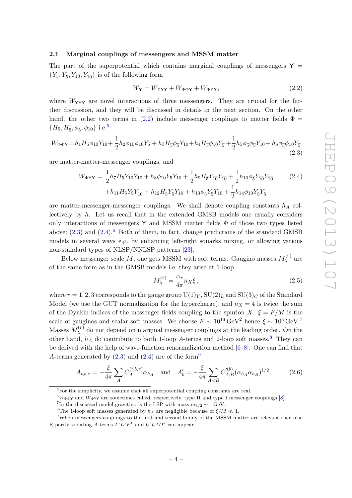### <span id="page-4-0"></span>2.1 Marginal couplings of messengers and MSSM matter

The part of the superpotential which contains marginal couplings of messengers  $Y =$  ${Y_5, Y_{\overline{5}, Y_{10}, Y_{\overline{10}}}\}\$ is of the following form

<span id="page-4-1"></span>
$$
W_Y = W_{\mathsf{YYY}} + W_{\Phi\Phi\mathsf{Y}} + W_{\Phi\mathsf{YY}},\tag{2.2}
$$

where  $W_{\text{VVY}}$  are novel interactions of three messengers. They are crucial for the further discussion, and they will be discussed in details in the next section. On the other hand, the other two terms in [\(2.2\)](#page-4-1) include messenger couplings to matter fields  $\Phi =$  $\{H_5, H_{\overline{5}}, \phi_{\overline{5}}, \phi_{10}\}$  $\{H_5, H_{\overline{5}}, \phi_{\overline{5}}, \phi_{10}\}$  $\{H_5, H_{\overline{5}}, \phi_{\overline{5}}, \phi_{10}\}$  i.e.<sup>5</sup>

<span id="page-4-3"></span>
$$
W_{\Phi\Phi\mathbf{Y}} = h_1 H_5 \phi_{10} Y_{10} + \frac{1}{2} h_2 \phi_{10} \phi_{10} Y_5 + h_3 H_{\overline{5}} \phi_{\overline{5}} Y_{10} + h_4 H_{\overline{5}} \phi_{10} Y_{\overline{5}} + \frac{1}{2} h_5 \phi_{\overline{5}} \phi_{\overline{5}} Y_{10} + h_6 \phi_{\overline{5}} \phi_{10} Y_{\overline{5}} \tag{2.3}
$$

are matter-matter-messenger couplings, and

<span id="page-4-4"></span>
$$
W_{\Phi YY} = \frac{1}{2} h_7 H_5 Y_{10} Y_{10} + h_8 \phi_{10} Y_5 Y_{10} + \frac{1}{2} h_9 H_5 Y_{\overline{10}} Y_{\overline{10}} + \frac{1}{2} h_{10} \phi_5 Y_{\overline{10}} Y_{\overline{10}} + h_{11} H_5 Y_5 Y_{\overline{10}} + h_{12} H_5 Y_5 Y_{10} + h_{13} \phi_5 Y_5 Y_{10} + \frac{1}{2} h_{14} \phi_{10} Y_5 Y_5
$$
\n
$$
(2.4)
$$

are matter-messenger-messenger couplings. We shall denote coupling constants  $h_A$  collectively by  $h$ . Let us recall that in the extended GMSB models one usually considers only interactions of messengers Y and MSSM matter fields  $\Phi$  of those two types listed above:  $(2.3)$  and  $(2.4)$ .<sup>[6](#page-4-5)</sup> Both of them, in fact, change predictions of the standard GMSB models in several ways e.g. by enhancing left-right squarks mixing, or allowing various non-standard types of NLSP/NNLSP patterns [\[23\]](#page-19-10).

Below messenger scale M, one gets MSSM with soft terms. Gaugino masses  $M_{\lambda}^{(r)}$  $\lambda^{(T)}$  are of the same form as in the GMSB models i.e. they arise at 1-loop

$$
M_{\lambda}^{(r)} = \frac{\alpha_r}{4\pi} n_X \xi \,, \tag{2.5}
$$

where  $r = 1, 2, 3$  corresponds to the gauge group  $U(1)_Y$ ,  $SU(2)_L$  and  $SU(3)_C$  of the Standard Model (we use the GUT normalization for the hypercharge), and  $n<sub>X</sub> = 4$  is twice the sum of the Dynkin indices of the messenger fields coupling to the spurion X.  $\xi = F/M$  is the scale of gauginos and scalar soft masses. We choose  $F \sim 10^{19} \text{ GeV}^2$  hence  $\xi \sim 10^5 \text{ GeV}^7$  $\xi \sim 10^5 \text{ GeV}^7$ . Masses  $M_{\lambda}^{(r)}$  $\lambda^{(r)}$  do not depend on marginal messenger couplings at the leading order. On the other hand,  $h_A$  do contribute to both 1-loop A-terms and 2-loop soft masses.<sup>[8](#page-4-7)</sup> They can be derived with the help of wave-function renormalization method  $[6-8]$  $[6-8]$ . One can find that A-terms generated by  $(2.3)$  and  $(2.4)$  are of the form<sup>[9](#page-4-8)</sup>

<span id="page-4-9"></span>
$$
A_{t,b,\tau} = -\frac{\xi}{4\pi} \sum_{A} C_A^{(t,b,\tau)} \alpha_{h_A} \quad \text{and} \quad A'_b = -\frac{\xi}{4\pi} \sum_{A (2.6)
$$

<span id="page-4-5"></span> ${}^6W_{\Phi\Phi\Upsilon}$  and  $W_{\Phi\Upsilon\Upsilon}$  are sometimes called, respectively, type II and type I messenger couplings [\[8\]](#page-19-0).

<span id="page-4-8"></span><span id="page-4-7"></span><sup>8</sup>The 1-loop soft masses generated by  $h_A$  are negligible because of  $\xi/M \ll 1$ .

<span id="page-4-2"></span><sup>5</sup>For the simplicity, we assume that all superpotential coupling constants are real.

<span id="page-4-6"></span><sup>&</sup>lt;sup>7</sup>In the discussed model gravitino is the LSP with mass  $m_{3/2} \sim 1 \,\text{GeV}$ .

<sup>&</sup>lt;sup>9</sup>When messengers couplings to the first and second family of the MSSM matter are relevant then also R-parity violating A-terms  $L^i L^j E^k$  and  $U^i U^j D^k$  can appear.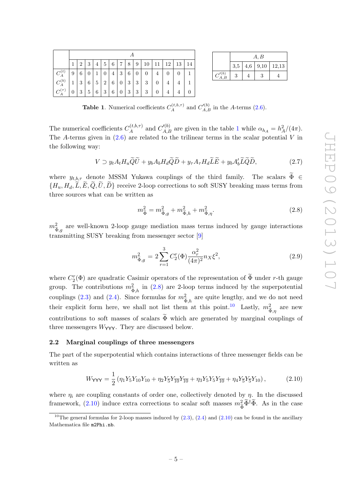|                        |                  | $11 \mid 12 \mid 13 \mid$<br>$8 \mid 9 \mid 10$<br>14<br>3<br>5 <sup>5</sup><br>$6\phantom{.}6$<br>$+7$ <sup>1</sup><br>$\overline{2}$<br>$\overline{4}$ |                |              |                  |                 |                  |            |                                |                |                  |                  |                  |  |
|------------------------|------------------|----------------------------------------------------------------------------------------------------------------------------------------------------------|----------------|--------------|------------------|-----------------|------------------|------------|--------------------------------|----------------|------------------|------------------|------------------|--|
| $C_A^{(t)}$            | $\boldsymbol{9}$ | $\,6$                                                                                                                                                    | $\overline{0}$ | $\mathbf{1}$ | $\boldsymbol{0}$ | $\overline{4}$  | 3                | 6          | $\vert 0 \vert$                | $\overline{0}$ | $\overline{4}$   | $\boldsymbol{0}$ | $\boldsymbol{0}$ |  |
| $C_A^{(b)}$            | $\mathbf{1}$     | 3                                                                                                                                                        | 6              | 5            | 2                | $6\phantom{.0}$ | $\overline{0}$   | $\sqrt{3}$ | $+3$ <sup>1</sup>              | 3 <sup>1</sup> | $\boldsymbol{0}$ | $\overline{4}$   | $\overline{4}$   |  |
| $C_{\Lambda}^{(\tau)}$ | $\overline{0}$   | 3                                                                                                                                                        | $5^{\circ}$    | 6            | 3                | 6               | $\boldsymbol{0}$ | $\sqrt{3}$ | $+3$ <sup><math>+</math></sup> | 3              | $\boldsymbol{0}$ |                  |                  |  |

|                  |     | A, B |  |                      |  |  |  |  |  |  |  |
|------------------|-----|------|--|----------------------|--|--|--|--|--|--|--|
|                  | 3,5 |      |  | $4,6$   9,10   12,13 |  |  |  |  |  |  |  |
| $C'^{(b)}_{A,B}$ | 3   |      |  |                      |  |  |  |  |  |  |  |

<span id="page-5-1"></span>**Table 1.** Numerical coefficients  $C_A^{(t,b,\tau)}$  and  $C_{A,B}^{\prime(b)}$  in the A-terms [\(2.6\)](#page-4-9).

The numerical coefficients  $C_A^{(t,b,\tau)}$  $C_{A,B}^{(t,b,\tau)}$  and  $C_{A,B}^{\prime(b)}$  are given in the table [1](#page-5-1) while  $\alpha_{h} = h_A^2/(4\pi)$ . The A-terms given in  $(2.6)$  are related to the trilinear terms in the scalar potential V in the following way:

$$
V \supset y_t A_t H_u \widetilde{Q} \widetilde{U} + y_b A_b H_d \widetilde{Q} \widetilde{D} + y_\tau A_\tau H_d \widetilde{L} \widetilde{E} + y_b A_b' \widetilde{L} \widetilde{Q} \widetilde{D},\tag{2.7}
$$

where  $y_{t,b,\tau}$  denote MSSM Yukawa couplings of the third family. The scalars  $\widetilde{\Phi} \in$  $\{H_u, H_d, \tilde{L}, \tilde{E}, \tilde{Q}, \tilde{U}, \tilde{D}\}\)$  receive 2-loop corrections to soft SUSY breaking mass terms from three sources what can be written as

<span id="page-5-2"></span>
$$
m_{\widetilde{\Phi}}^2 = m_{\widetilde{\Phi},g}^2 + m_{\widetilde{\Phi},h}^2 + m_{\widetilde{\Phi},\eta}^2. \tag{2.8}
$$

 $m_{\bm{\hat{\pi}}}^2$  $\frac{2}{\tilde{\Phi},g}$  are well-known 2-loop gauge mediation mass terms induced by gauge interactions transmitting SUSY breaking from messenger sector [\[9\]](#page-19-1)

$$
m_{\tilde{\Phi},g}^2 = 2 \sum_{r=1}^3 C_2^r(\Phi) \frac{\alpha_r^2}{(4\pi)^2} n_X \xi^2, \qquad (2.9)
$$

where  $C_2^r(\Phi)$  are quadratic Casimir operators of the representation of  $\widetilde{\Phi}$  under r-th gauge group. The contributions  $m_{\tilde{z}}^2$  $\frac{2}{3}$ <sub>*h*</sub> in [\(2.8\)](#page-5-2) are 2-loop terms induced by the superpotential couplings [\(2.3\)](#page-4-3) and [\(2.4\)](#page-4-4). Since formulas for  $m_{\tilde{\star}}^2$ , are quite lengthy, and we do not need their explicit form here, we shall not list them at this point.<sup>[10](#page-5-3)</sup> Lastly,  $m_3^2$  $\frac{2}{\tilde{\Phi}, \eta}$  are new contributions to soft masses of scalars  $\widetilde{\Phi}$  which are generated by marginal couplings of three messengers  $W_{\text{YYY}}$ . They are discussed below.

### <span id="page-5-0"></span>2.2 Marginal couplings of three messengers

The part of the superpotential which contains interactions of three messenger fields can be written as

<span id="page-5-4"></span>
$$
W_{\text{YYY}} = \frac{1}{2} \left( \eta_1 Y_5 Y_{10} Y_{10} + \eta_2 Y_5 Y_{10} Y_{10} + \eta_3 Y_5 Y_5 Y_{10} + \eta_4 Y_5 Y_5 Y_{10} \right), \tag{2.10}
$$

where  $\eta_i$  are coupling constants of order one, collectively denoted by  $\eta$ . In the discussed framework, [\(2.10\)](#page-5-4) induce extra corrections to scalar soft masses  $m_{\tilde{\Phi}}^2 \tilde{\Phi}^{\dagger} \tilde{\Phi}$ . As in the case

<span id="page-5-3"></span><sup>&</sup>lt;sup>10</sup>The general formulas for 2-loop masses induced by  $(2.3)$ ,  $(2.4)$  and  $(2.10)$  can be found in the ancillary Mathematica file m2Phi.nb.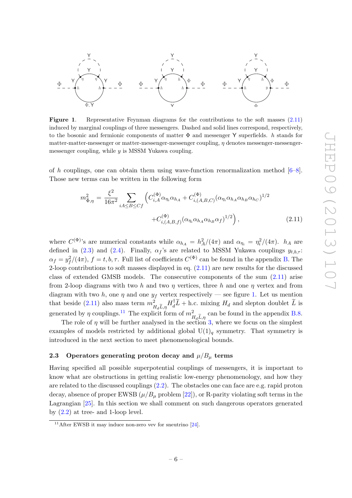

<span id="page-6-2"></span>Figure 1. Representative Feynman diagrams for the contributions to the soft masses  $(2.11)$ induced by marginal couplings of three messengers. Dashed and solid lines correspond, respectively, to the bosonic and fermionic components of matter  $\Phi$  and messenger Y superfields. h stands for matter-matter-messenger or matter-messenger-messenger coupling,  $\eta$  denotes messenger-messengermessenger coupling, while  $y$  is MSSM Yukawa coupling.

of h couplings, one can obtain them using wave-function renormalization method  $[6-8]$  $[6-8]$ . Those new terms can be written in the following form

<span id="page-6-1"></span>
$$
m_{\tilde{\Phi},\eta}^2 = \frac{\xi^2}{16\pi^2} \sum_{iA \le B \le Cf} \left( C_{i,A}^{(\Phi)} \alpha_{\eta_i} \alpha_{h_A} + C_{i,(A,B,C)}^{(\Phi)} (\alpha_{\eta_i} \alpha_{h_A} \alpha_{h_B} \alpha_{h_C})^{1/2} + C_{i,(A,B,f)}^{(\Phi)} (\alpha_{\eta_i} \alpha_{h_A} \alpha_{h_B} \alpha_f)^{1/2} \right),
$$
(2.11)

where  $C^{(\Phi)}$ 's are numerical constants while  $\alpha_{h} = h_A^2/(4\pi)$  and  $\alpha_{\eta_i} = \eta_i^2/(4\pi)$ .  $h_A$  are defined in [\(2.3\)](#page-4-3) and [\(2.4\)](#page-4-4). Finally,  $\alpha_f$ 's are related to MSSM Yukawa couplings  $y_{t,b,\tau}$ :  $\alpha_f = y_f^2/(4\pi)$ ,  $f = t, b, \tau$ . Full list of coefficients  $C^{(\Phi)}$  can be found in the appendix [B.](#page-15-1) The 2-loop contributions to soft masses displayed in eq. [\(2.11\)](#page-6-1) are new results for the discussed class of extended GMSB models. The consecutive components of the sum  $(2.11)$  arise from 2-loop diagrams with two h and two  $\eta$  vertices, three h and one  $\eta$  vertex and from diagram with two h, one  $\eta$  and one  $y_f$  vertex respectively — see figure [1.](#page-6-2) Let us mention that beside [\(2.11\)](#page-6-1) also mass term  $m_{H_d\widetilde{L},\eta}^2 H_d^{\dagger} \widetilde{L} + \text{h.c.}$  mixing  $H_d$  and slepton doublet  $\widetilde{L}$  is generated by  $\eta$  couplings.<sup>[11](#page-6-3)</sup> The explicit form of  $m_{\tau}^2$  $H_d\tilde{L}_{\eta}$  can be found in the appendix [B.8.](#page-17-2)<br> $H_d\tilde{L}_{\eta}$  ? where we focus on the simplest

The role of  $\eta$  will be further analysed in the section [3,](#page-9-0) where we focus on the simplest examples of models restricted by additional global  $U(1)<sub>q</sub>$  symmetry. That symmetry is introduced in the next section to meet phenomenological bounds.

## <span id="page-6-0"></span>2.3 Operators generating proton decay and  $\mu/B_{\mu}$  terms

Having specified all possible superpotential couplings of messengers, it is important to know what are obstructions in getting realistic low-energy phenomenology, and how they are related to the discussed couplings [\(2.2\)](#page-4-1). The obstacles one can face are e.g. rapid proton decay, absence of proper EWSB  $(\mu/B_{\mu} \text{ problem } [22])$  $(\mu/B_{\mu} \text{ problem } [22])$  $(\mu/B_{\mu} \text{ problem } [22])$ , or R-parity violating soft terms in the Lagrangian [\[25\]](#page-19-11). In this section we shall comment on such dangerous operators generated by  $(2.2)$  at tree- and 1-loop level.

<span id="page-6-3"></span><sup>&</sup>lt;sup>11</sup>After EWSB it may induce non-zero vev for sneutrino  $[24]$ .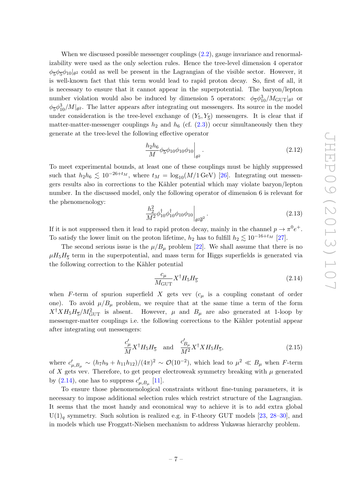When we discussed possible messenger couplings  $(2.2)$ , gauge invariance and renormalizability were used as the only selection rules. Hence the tree-level dimension 4 operator  $\phi_5 \phi_5 \phi_{10} |_{\theta^2}$  could as well be present in the Lagrangian of the visible sector. However, it is well-known fact that this term would lead to rapid proton decay. So, first of all, it is necessary to ensure that it cannot appear in the superpotential. The baryon/lepton number violation would also be induced by dimension 5 operators:  $\phi_{\overline{5}}\phi_{10}^3/M_{\text{GUT}}|_{\theta^2}$  or  $\phi_5 \phi_{10}^3 / M|_{\theta^2}$ . The latter appears after integrating out messengers. Its source in the model under consideration is the tree-level exchange of  $(Y_5, Y_{\overline{5}})$  messengers. It is clear that if matter-matter-messenger couplings  $h_2$  and  $h_6$  (cf. [\(2.3\)](#page-4-3)) occur simultaneously then they generate at the tree-level the following effective operator

<span id="page-7-1"></span>
$$
\left. \frac{h_2 h_6}{M} \phi_5 \phi_{10} \phi_{10} \phi_{10} \right|_{\theta^2} . \tag{2.12}
$$

To meet experimental bounds, at least one of these couplings must be highly suppressed such that  $h_2h_6 \lesssim 10^{-26+t_M}$ , where  $t_M = \log_{10}(M/1 \text{ GeV})$  [\[26\]](#page-19-13). Integrating out messengers results also in corrections to the Kähler potential which may violate baryon/lepton number. In the discussed model, only the following operator of dimension 6 is relevant for the phenomenology:

<span id="page-7-3"></span>
$$
\left. \frac{h_2^2}{M^2} \phi_{10}^\dagger \phi_{10}^\dagger \phi_{10} \phi_{10} \right|_{\theta^2 \overline{\theta}^2} . \tag{2.13}
$$

If it is not suppressed then it lead to rapid proton decay, mainly in the channel  $p \to \pi^0 e^+$ . To satisfy the lower limit on the proton lifetime,  $h_2$  has to fulfill  $h_2 \lesssim 10^{-16+t_M}$  [\[27\]](#page-19-14).

The second serious issue is the  $\mu/B_{\mu}$  problem [\[22\]](#page-19-9). We shall assume that there is no  $\mu H_5 H_{\overline{5}}$  term in the superpotential, and mass term for Higgs superfields is generated via the following correction to the Kähler potential

<span id="page-7-0"></span>
$$
\frac{c_{\mu}}{M_{\text{GUT}}} X^{\dagger} H_5 H_{\overline{5}} \tag{2.14}
$$

when F-term of spurion superfield X gets vev  $(c<sub>u</sub>$  is a coupling constant of order one). To avoid  $\mu/B_{\mu}$  problem, we require that at the same time a term of the form  $X^{\dagger} X H_5 H_5^2 / M_{\text{GUT}}^2$  is absent. However,  $\mu$  and  $B_{\mu}$  are also generated at 1-loop by messenger-matter couplings i.e. the following corrections to the Kähler potential appear after integrating out messengers:

<span id="page-7-2"></span>
$$
\frac{c'_{\mu}}{M} X^{\dagger} H_5 H_5 \quad \text{and} \quad \frac{c'_{B_{\mu}}}{M^2} X^{\dagger} X H_5 H_5,
$$
\n(2.15)

where  $c'_{\mu,B_\mu} \sim (h_7h_9 + h_{11}h_{12})/(4\pi)^2 \sim \mathcal{O}(10^{-2})$ , which lead to  $\mu^2 \ll B_\mu$  when F-term of X gets vev. Therefore, to get proper electroweak symmetry breaking with  $\mu$  generated by [\(2.14\)](#page-7-0), one has to suppress  $c'_{\mu,B_{\mu}}$  [\[11\]](#page-19-3).

To ensure those phenomenological constraints without fine-tuning parameters, it is necessary to impose additional selection rules which restrict structure of the Lagrangian. It seems that the most handy and economical way to achieve it is to add extra global  $U(1)<sub>q</sub>$  symmetry. Such solution is realized e.g. in F-theory GUT models [\[23,](#page-19-10) [28–](#page-20-0)[30\]](#page-20-1), and in models which use Froggatt-Nielsen mechanism to address Yukawas hierarchy problem.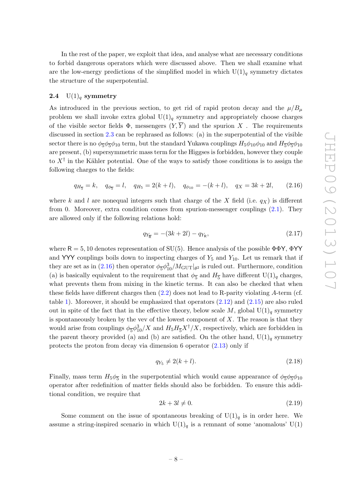In the rest of the paper, we exploit that idea, and analyse what are necessary conditions to forbid dangerous operators which were discussed above. Then we shall examine what are the low-energy predictions of the simplified model in which  $U(1)<sub>q</sub>$  symmetry dictates the structure of the superpotential.

### <span id="page-8-0"></span>2.4  $U(1)<sub>q</sub>$  symmetry

As introduced in the previous section, to get rid of rapid proton decay and the  $\mu/B_u$ problem we shall invoke extra global  $U(1)<sub>q</sub>$  symmetry and appropriately choose charges of the visible sector fields  $\Phi$ , messengers  $(Y,\overline{Y})$  and the spurion X. The requirements discussed in section [2.3](#page-6-0) can be rephrased as follows: (a) in the superpotential of the visible sector there is no  $\phi_{\bar{5}}\phi_{\bar{5}}\phi_{10}$  term, but the standard Yukawa couplings  $H_5\phi_{10}\phi_{10}$  and  $H_{\bar{5}}\phi_{\bar{5}}\phi_{10}$ are present, (b) supersymmetric mass term for the Higgses is forbidden, however they couple to  $X^{\dagger}$  in the Kähler potential. One of the ways to satisfy those conditions is to assign the following charges to the fields:

<span id="page-8-1"></span>
$$
q_{H_{\overline{5}}}=k
$$
,  $q_{\phi_{\overline{5}}}=l$ ,  $q_{H_{5}}=2(k+l)$ ,  $q_{\phi_{10}}=-(k+l)$ ,  $q_{X}=3k+2l$ , (2.16)

where k and l are nonequal integers such that charge of the X field (i.e.  $q_X$ ) is different from 0. Moreover, extra condition comes from spurion-messenger couplings [\(2.1\)](#page-3-2). They are allowed only if the following relations hold:

$$
q_{Y_{\overline{\mathsf{R}}}} = -(3k + 2l) - q_{Y_{\mathsf{R}}},\tag{2.17}
$$

where  $R = 5, 10$  denotes representation of SU(5). Hence analysis of the possible  $\Phi \Phi Y$ ,  $\Phi YY$ and YYY couplings boils down to inspecting charges of  $Y_5$  and  $Y_{10}$ . Let us remark that if they are set as in [\(2.16\)](#page-8-1) then operator  $\phi_{\overline{5}}\phi_{10}^3/M_{\rm GUT}|_{\theta^2}$  is ruled out. Furthermore, condition (a) is basically equivalent to the requirement that  $\phi_{\overline{5}}$  and  $H_{\overline{5}}$  have different  $\mathrm{U}(1)_q$  charges, what prevents them from mixing in the kinetic terms. It can also be checked that when these fields have different charges then  $(2.2)$  does not lead to R-parity violating A-term (cf. table [1\)](#page-5-1). Moreover, it should be emphasized that operators [\(2.12\)](#page-7-1) and [\(2.15\)](#page-7-2) are also ruled out in spite of the fact that in the effective theory, below scale M, global  $U(1)_q$  symmetry is spontaneously broken by the vev of the lowest component of  $X$ . The reason is that they would arise from couplings  $\phi_5 \phi_{10}^3/X$  and  $H_5 H_{\overline{5}} X^{\dagger}/X$ , respectively, which are forbidden in the parent theory provided (a) and (b) are satisfied. On the other hand,  $U(1)<sub>q</sub>$  symmetry protects the proton from decay via dimension 6 operator [\(2.13\)](#page-7-3) only if

$$
q_{Y_5} \neq 2(k+l). \tag{2.18}
$$

Finally, mass term  $H_5 \phi_{\overline{5}}$  in the superpotential which would cause appearance of  $\phi_{\overline{5}} \phi_{\overline{5}} \phi_{10}$ operator after redefinition of matter fields should also be forbidden. To ensure this additional condition, we require that

<span id="page-8-2"></span>
$$
2k + 3l \neq 0. \tag{2.19}
$$

Some comment on the issue of spontaneous breaking of  $U(1)<sub>q</sub>$  is in order here. We assume a string-inspired scenario in which  $U(1)<sub>q</sub>$  is a remnant of some 'anomalous'  $U(1)$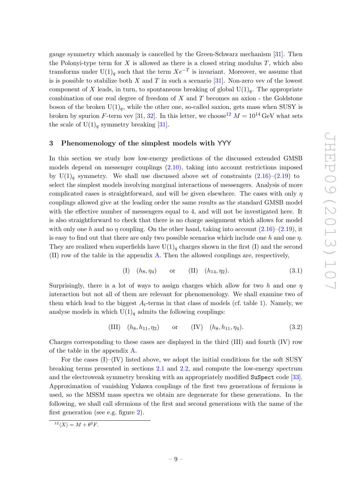gauge symmetry which anomaly is cancelled by the Green-Schwarz mechanism [\[31\]](#page-20-2). Then the Polonyi-type term for  $X$  is allowed as there is a closed string modulus  $T$ , which also transforms under  $U(1)<sub>q</sub>$  such that the term  $Xe^{-T}$  is invariant. Moreover, we assume that is is possible to stabilize both X and T in such a scenario  $[31]$ . Non-zero vev of the lowest component of X leads, in turn, to spontaneous breaking of global  $U(1)<sub>q</sub>$ . The appropriate combination of one real degree of freedom of  $X$  and  $T$  becomes an axion - the Goldstone boson of the broken  $U(1)<sub>a</sub>$ , while the other one, so-called saxion, gets mass when SUSY is broken by spurion F-term vev [\[31,](#page-20-2) [32\]](#page-20-3). In this letter, we choose <sup>[12](#page-9-1)</sup>  $M = 10^{14}$  GeV what sets the scale of  $U(1)<sub>q</sub>$  symmetry breaking [\[31\]](#page-20-2).

## <span id="page-9-0"></span>3 Phenomenology of the simplest models with YYY

In this section we study how low-energy predictions of the discussed extended GMSB models depend on messenger couplings [\(2.10\)](#page-5-4), taking into account restrictions imposed by  $U(1)_q$  symmetry. We shall use discussed above set of constraints  $(2.16)-(2.19)$  $(2.16)-(2.19)$  $(2.16)-(2.19)$  to select the simplest models involving marginal interactions of messengers. Analysis of more complicated cases is straightforward, and will be given elsewhere. The cases with only  $\eta$ couplings allowed give at the leading order the same results as the standard GMSB model with the effective number of messengers equal to 4, and will not be investigated here. It is also straightforward to check that there is no charge assignment which allows for model with only one h and no  $\eta$  coupling. On the other hand, taking into account  $(2.16)$ – $(2.19)$ , it is easy to find out that there are only two possible scenarios which include one h and one  $\eta$ . They are realized when superfields have  $U(1)_q$  charges shown in the first (I) and the second (II) row of the table in the appendix [A.](#page-15-0) Then the allowed couplings are, respectively,

(I) 
$$
(h_8, \eta_4)
$$
 or (II)  $(h_{14}, \eta_2)$ . (3.1)

Surprisingly, there is a lot of ways to assign charges which allow for two h and one  $\eta$ interaction but not all of them are relevant for phenomenology. We shall examine two of them which lead to the biggest  $A_t$ -terms in that class of models (cf. table [1\)](#page-5-1). Namely, we analyse models in which  $U(1)<sub>q</sub>$  admits the following couplings:

(III) 
$$
(h_8, h_{11}, \eta_2)
$$
 or (IV)  $(h_8, h_{11}, \eta_4)$ . (3.2)

Charges corresponding to these cases are displayed in the third (III) and fourth (IV) row of the table in the appendix [A.](#page-15-0)

For the cases  $(I)$ – $(IV)$  listed above, we adopt the initial conditions for the soft SUSY breaking terms presented in sections [2.1](#page-4-0) and [2.2,](#page-5-0) and compute the low-energy spectrum and the electroweak symmetry breaking with an appropriately modified SuSpect code [\[33\]](#page-20-4). Approximation of vanishing Yukawa couplings of the first two generations of fermions is used, so the MSSM mass spectra we obtain are degenerate for these generations. In the following, we shall call sfermions of the first and second generations with the name of the first generation (see e.g. figure [2\)](#page-11-0).

<span id="page-9-1"></span> $12\langle X \rangle = M + \theta^2 F.$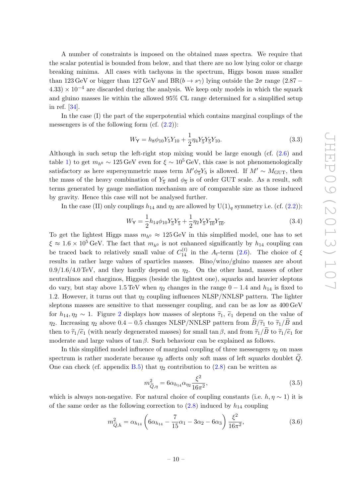A number of constraints is imposed on the obtained mass spectra. We require that the scalar potential is bounded from below, and that there are no low lying color or charge breaking minima. All cases with tachyons in the spectrum, Higgs boson mass smaller than 123 GeV or bigger than 127 GeV and BR $(b \to s\gamma)$  lying outside the  $2\sigma$  range (2.87 –  $4.33$ ) × 10<sup>-4</sup> are discarded during the analysis. We keep only models in which the squark and gluino masses lie within the allowed 95% CL range determined for a simplified setup in ref. [\[34\]](#page-20-5).

In the case (I) the part of the superpotential which contains marginal couplings of the messengers is of the following form (cf.  $(2.2)$ ):

$$
W_{\mathsf{Y}} = h_8 \phi_{10} Y_5 Y_{10} + \frac{1}{2} \eta_4 Y_5 Y_5 Y_{10}.
$$
\n(3.3)

Although in such setup the left-right stop mixing would be large enough (cf.  $(2.6)$ ) and table [1\)](#page-5-1) to get  $m_{h0} \sim 125 \,\text{GeV}$  even for  $\xi \sim 10^5 \,\text{GeV}$ , this case is not phenomenologically satisfactory as here supersymmetric mass term  $M'\phi_{\overline{5}}Y_5$  is allowed. If  $M' \sim M_{\text{GUT}}$ , then the mass of the heavy combination of  $Y_{\overline{5}}$  and  $\phi_{\overline{5}}$  is of order GUT scale. As a result, soft terms generated by gauge mediation mechanism are of comparable size as those induced by gravity. Hence this case will not be analysed further.

In the case (II) only couplings  $h_{14}$  and  $\eta_2$  are allowed by  $U(1)_q$  symmetry i.e. (cf. [\(2.2\)](#page-4-1)):

$$
W_{\mathsf{Y}} = \frac{1}{2} h_{14} \phi_{10} Y_{\overline{5}} Y_{\overline{5}} + \frac{1}{2} \eta_2 Y_{\overline{5}} Y_{\overline{10}} Y_{\overline{10}}.
$$
 (3.4)

To get the lightest Higgs mass  $m_{h^0} \approx 125 \,\text{GeV}$  in this simplified model, one has to set  $\xi \approx 1.6 \times 10^5 \,\text{GeV}$ . The fact that  $m_{h^0}$  is not enhanced significantly by  $h_{14}$  coupling can be traced back to relatively small value of  $C_{14}^{(t)}$  in the  $A_t$ -term [\(2.6\)](#page-4-9). The choice of  $\xi$ results in rather large values of sparticles masses. Bino/wino/gluino masses are about  $0.9/1.6/4.0$  TeV, and they hardly depend on  $\eta_2$ . On the other hand, masses of other neutralinos and charginos, Higgses (beside the lightest one), squarks and heavier sleptons do vary, but stay above 1.5 TeV when  $\eta_2$  changes in the range  $0 - 1.4$  and  $h_{14}$  is fixed to 1.2. However, it turns out that  $\eta_2$  coupling influences NLSP/NNLSP pattern. The lighter sleptons masses are sensitive to that messenger coupling, and can be as low as 400 GeV for  $h_{14}, \eta_2 \sim 1$  $h_{14}, \eta_2 \sim 1$  $h_{14}, \eta_2 \sim 1$ . Figure 2 displays how masses of sleptons  $\tilde{\tau}_1$ ,  $\tilde{e}_1$  depend on the value of  $η_2$ . Increasing  $η_2$  above 0.4 – 0.5 changes NLSP/NNLSP pattern from  $\widetilde{B}/\widetilde{τ}_1$  to  $\widetilde{τ}_1/\widetilde{B}$  and then to  $\tilde{\tau}_1/\tilde{e}_1$  (with nearly degenerated masses) for small tan  $\beta$ , and from  $\tilde{\tau}_1/\tilde{B}$  to  $\tilde{\tau}_1/\tilde{e}_1$  for moderate and large values of tan  $\beta$ . Such behaviour can be explained as follows.

In this simplified model influence of marginal coupling of three messengers  $\eta_2$  on mass spectrum is rather moderate because  $\eta_2$  affects only soft mass of left squarks doublet Q. One can check (cf. appendix [B.5\)](#page-16-2) that  $\eta_2$  contribution to [\(2.8\)](#page-5-2) can be written as

<span id="page-10-0"></span>
$$
m_{\tilde{Q},\eta}^2 = 6\alpha_{h_{14}}\alpha_{\eta_2}\frac{\xi^2}{16\pi^2},\tag{3.5}
$$

which is always non-negative. For natural choice of coupling constants (i.e.  $h, \eta \sim 1$ ) it is of the same order as the following correction to  $(2.8)$  induced by  $h_{14}$  coupling

$$
m_{\tilde{Q},h}^2 = \alpha_{h_{14}} \left( 6\alpha_{h_{14}} - \frac{7}{15}\alpha_1 - 3\alpha_2 - 6\alpha_3 \right) \frac{\xi^2}{16\pi^2},
$$
\n(3.6)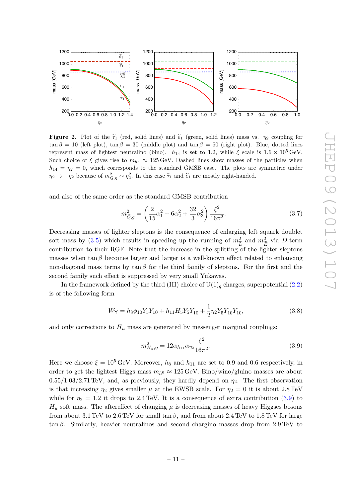

<span id="page-11-0"></span>**Figure 2.** Plot of the  $\tilde{\tau}_1$  (red, solid lines) and  $\tilde{\epsilon}_1$  (green, solid lines) mass vs.  $\eta_2$  coupling for  $\tan \beta = 10$  (left plot),  $\tan \beta = 30$  (middle plot) and  $\tan \beta = 50$  (right plot). Blue, dotted lines represent mass of lightest neutralino (bino).  $h_{14}$  is set to 1.2, while  $\xi$  scale is  $1.6 \times 10^5$  GeV. Such choice of  $\xi$  gives rise to  $m_{h^0} \approx 125 \text{ GeV}$ . Dashed lines show masses of the particles when  $h_{14} = \eta_2 = 0$ , which corresponds to the standard GMSB case. The plots are symmetric under  $\eta_2 \to -\eta_2$  because of  $m_{Q,\eta}^2 \sim \eta_2^2$ . In this case  $\tilde{\tau}_1$  and  $\tilde{e}_1$  are mostly right-handed.

and also of the same order as the standard GMSB contribution

$$
m_{\tilde{Q},g}^2 = \left(\frac{2}{15}\alpha_1^2 + 6\alpha_2^2 + \frac{32}{3}\alpha_3^2\right)\frac{\xi^2}{16\pi^2}.\tag{3.7}
$$

Decreasing masses of lighter sleptons is the consequence of enlarging left squark doublet soft mass by [\(3.5\)](#page-10-0) which results in speeding up the running of  $m_{\tilde{\tau}}^2$  and  $m_{\tilde{\tau}}^2$  via D-term contribution to their RGE. Note that the increase in the splitting of the lighter sleptons masses when tan  $\beta$  becomes larger and larger is a well-known effect related to enhancing non-diagonal mass terms by  $\tan \beta$  for the third family of sleptons. For the first and the second family such effect is suppressed by very small Yukawas.

In the framework defined by the third (III) choice of  $U(1)<sub>q</sub>$  charges, superpotential [\(2.2\)](#page-4-1) is of the following form

$$
W_Y = h_8 \phi_{10} Y_5 Y_{10} + h_{11} H_5 Y_5 Y_{\overline{10}} + \frac{1}{2} \eta_2 Y_{\overline{5}} Y_{\overline{10}} Y_{\overline{10}},
$$
\n(3.8)

and only corrections to  $H_u$  mass are generated by messenger marginal couplings:

<span id="page-11-1"></span>
$$
m_{H_u, \eta}^2 = 12\alpha_{h_{11}}\alpha_{\eta_2} \frac{\xi^2}{16\pi^2}.
$$
\n(3.9)

Here we choose  $\xi = 10^5 \,\text{GeV}$ . Moreover,  $h_8$  and  $h_{11}$  are set to 0.9 and 0.6 respectively, in order to get the lightest Higgs mass  $m_{h0} \approx 125 \,\text{GeV}$ . Bino/wino/gluino masses are about  $0.55/1.03/2.71$  TeV, and, as previously, they hardly depend on  $\eta_2$ . The first observation is that increasing  $\eta_2$  gives smaller  $\mu$  at the EWSB scale. For  $\eta_2 = 0$  it is about 2.8 TeV while for  $\eta_2 = 1.2$  it drops to 2.4 TeV. It is a consequence of extra contribution [\(3.9\)](#page-11-1) to  $H_u$  soft mass. The aftereffect of changing  $\mu$  is decreasing masses of heavy Higgses bosons from about 3.1 TeV to 2.6 TeV for small tan  $\beta$ , and from about 2.4 TeV to 1.8 TeV for large tan β. Similarly, heavier neutralinos and second chargino masses drop from  $2.9 \text{ TeV}$  to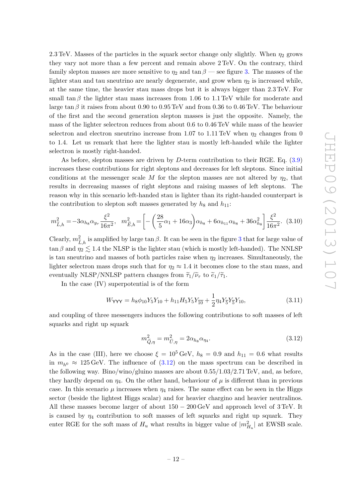2.3 TeV. Masses of the particles in the squark sector change only slightly. When  $\eta_2$  grows they vary not more than a few percent and remain above 2 TeV. On the contrary, third family slepton masses are more sensitive to  $\eta_2$  and  $\tan \beta$  — see figure [3.](#page-13-1) The masses of the lighter stau and tau sneutrino are nearly degenerate, and grow when  $\eta_2$  is increased while, at the same time, the heavier stau mass drops but it is always bigger than 2.3 TeV. For small tan  $\beta$  the lighter stau mass increases from 1.06 to 1.1 TeV while for moderate and large tan β it raises from about 0.90 to 0.95 TeV and from 0.36 to 0.46 TeV. The behaviour of the first and the second generation slepton masses is just the opposite. Namely, the mass of the lighter selectron reduces from about 0.6 to 0.46 TeV while mass of the heavier selectron and electron sneutrino increase from 1.07 to 1.11 TeV when  $\eta_2$  changes from 0 to 1.4. Let us remark that here the lighter stau is mostly left-handed while the lighter selectron is mostly right-handed.

As before, slepton masses are driven by  $D$ -term contribution to their RGE. Eq.  $(3.9)$ increases these contributions for right sleptons and decreases for left sleptons. Since initial conditions at the messenger scale M for the slepton masses are not altered by  $\eta_2$ , that results in decreasing masses of right sleptons and raising masses of left sleptons. The reason why in this scenario left-handed stau is lighter than its right-handed counterpart is the contribution to slepton soft masses generated by  $h_8$  and  $h_{11}$ :

$$
m_{\widetilde{L},h}^2 = -3\alpha_{h_8}\alpha_{y_\tau} \frac{\xi^2}{16\pi^2}, \quad m_{\widetilde{E},h}^2 = \left[ -\left(\frac{28}{5}\alpha_1 + 16\alpha_3\right)\alpha_{h_8} + 6\alpha_{h_{11}}\alpha_{h_8} + 36\alpha_{h_8}^2 \right] \frac{\xi^2}{16\pi^2}.
$$
 (3.10)

Clearly,  $m_{\tilde{\tau}}^2$  $\tilde{L}_{h}$  is amplified by large  $\tan \beta$ . It can be seen in the figure [3](#page-13-1) that for large value of  $\tilde{L}_{h}$  $\tan \beta$  and  $\eta_2 \lesssim 1.4$  the NLSP is the lighter stau (which is mostly left-handed). The NNLSP is tau sneutrino and masses of both particles raise when  $\eta_2$  increases. Simultaneously, the lighter selectron mass drops such that for  $\eta_2 \approx 1.4$  it becomes close to the stau mass, and eventually NLSP/NNLSP pattern changes from  $\tilde{\tau}_1/\tilde{\nu}_{\tau}$  to  $\tilde{e}_1/\tilde{\tau}_1$ .

In the case (IV) superpotential is of the form

$$
W_{\text{YYY}} = h_8 \phi_{10} Y_5 Y_{10} + h_{11} H_5 Y_5 Y_{10} + \frac{1}{2} \eta_4 Y_5 Y_5 Y_{10}, \qquad (3.11)
$$

and coupling of three messengers induces the following contributions to soft masses of left squarks and right up squark

<span id="page-12-0"></span>
$$
m_{\tilde{Q},\eta}^2 = m_{\tilde{U},\eta}^2 = 2\alpha_{h_8}\alpha_{\eta_4}.\tag{3.12}
$$

As in the case (III), here we choose  $\xi = 10^5 \,\text{GeV}$ ,  $h_8 = 0.9$  and  $h_{11} = 0.6$  what results in  $m_{h0} \approx 125 \,\text{GeV}$ . The influence of  $(3.12)$  on the mass spectrum can be described in the following way. Bino/wino/gluino masses are about 0.55/1.03/2.71 TeV, and, as before, they hardly depend on  $\eta_4$ . On the other hand, behaviour of  $\mu$  is different than in previous case. In this scenario  $\mu$  increases when  $\eta_4$  raises. The same effect can be seen in the Higgs sector (beside the lightest Higgs scalar) and for heavier chargino and heavier neutralinos. All these masses become larger of about  $150 - 200 \,\text{GeV}$  and approach level of 3 TeV. It is caused by  $\eta_4$  contribution to soft masses of left squarks and right up squark. They enter RGE for the soft mass of  $H_u$  what results in bigger value of  $|m_{H_u}^2|$  at EWSB scale.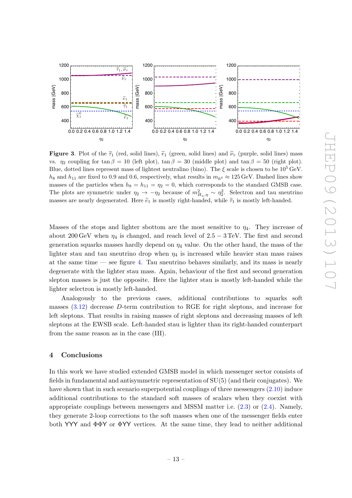

<span id="page-13-1"></span>**Figure 3.** Plot of the  $\tilde{\tau}_1$  (red, solid lines),  $\tilde{e}_1$  (green, solid lines) and  $\tilde{\nu}_\tau$  (purple, solid lines) mass vs.  $η_2$  coupling for tan  $β = 10$  (left plot), tan  $β = 30$  (middle plot) and tan  $β = 50$  (right plot). Blue, dotted lines represent mass of lightest neutralino (bino). The  $\xi$  scale is chosen to be 10<sup>5</sup> GeV.  $h_8$  and  $h_{11}$  are fixed to 0.9 and 0.6, respectively, what results in  $m_{h0} \approx 125 \,\text{GeV}$ . Dashed lines show masses of the particles when  $h_8 = h_{11} = \eta_2 = 0$ , which corresponds to the standard GMSB case. The plots are symmetric under  $\eta_2 \to -\eta_2$  because of  $m_{H_u,\eta}^2 \sim \eta_2^2$ . Selectron and tau sneutrino masses are nearly degenerated. Here  $\tilde{e}_1$  is mostly right-handed, while  $\tilde{\tau}_1$  is mostly left-handed.

Masses of the stops and lighter sbottom are the most sensitive to  $\eta_4$ . They increase of about 200 GeV when  $\eta_4$  is changed, and reach level of 2.5 − 3 TeV. The first and second generation squarks masses hardly depend on  $\eta_4$  value. On the other hand, the mass of the lighter stau and tau sneutrino drop when  $\eta_4$  is increased while heavier stau mass raises at the same time  $\sim$  see figure [4.](#page-14-0) Tau sneutrino behaves similarly, and its mass is nearly degenerate with the lighter stau mass. Again, behaviour of the first and second generation slepton masses is just the opposite. Here the lighter stau is mostly left-handed while the lighter selectron is mostly left-handed.

Analogously to the previous cases, additional contributions to squarks soft masses  $(3.12)$  decrease D-term contribution to RGE for right sleptons, and increase for left sleptons. That results in raising masses of right sleptons and decreasing masses of left sleptons at the EWSB scale. Left-handed stau is lighter than its right-handed counterpart from the same reason as in the case (III).

#### <span id="page-13-0"></span>4 Conclusions

In this work we have studied extended GMSB model in which messenger sector consists of fields in fundamental and antisymmetric representation of SU(5) (and their conjugates). We have shown that in such scenario superpotential couplings of three messengers [\(2.10\)](#page-5-4) induce additional contributions to the standard soft masses of scalars when they coexist with appropriate couplings between messengers and MSSM matter i.e.  $(2.3)$  or  $(2.4)$ . Namely, they generate 2-loop corrections to the soft masses when one of the messenger fields enter both YYY and ΦΦY or ΦYY vertices. At the same time, they lead to neither additional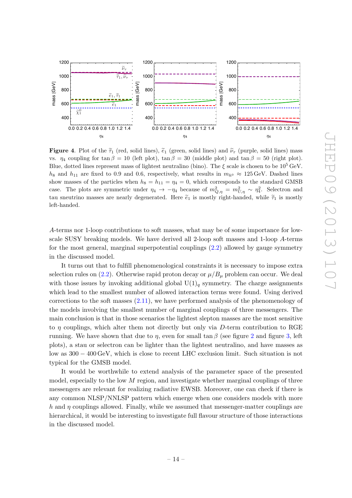

<span id="page-14-0"></span>**Figure 4.** Plot of the  $\tilde{\tau}_1$  (red, solid lines),  $\tilde{e}_1$  (green, solid lines) and  $\tilde{\nu}_{\tau}$  (purple, solid lines) mass vs.  $\eta_4$  coupling for tan  $\beta = 10$  (left plot), tan  $\beta = 30$  (middle plot) and tan  $\beta = 50$  (right plot). Blue, dotted lines represent mass of lightest neutralino (bino). The  $\xi$  scale is chosen to be 10<sup>5</sup> GeV.  $h_8$  and  $h_{11}$  are fixed to 0.9 and 0.6, respectively, what results in  $m_{h0} \approx 125 \,\text{GeV}$ . Dashed lines show masses of the particles when  $h_8 = h_{11} = \eta_4 = 0$ , which corresponds to the standard GMSB case. The plots are symmetric under  $\eta_4 \to -\eta_4$  because of  $m_{Q,\eta}^2 = m_{U,\eta}^2 \sim \eta_4^2$ . Selectron and tau sneutrino masses are nearly degenerated. Here  $\tilde{e}_1$  is mostly right-handed, while  $\tilde{\tau}_1$  is mostly left-handed.

A-terms nor 1-loop contributions to soft masses, what may be of some importance for lowscale SUSY breaking models. We have derived all 2-loop soft masses and 1-loop A-terms for the most general, marginal superpotential couplings [\(2.2\)](#page-4-1) allowed by gauge symmetry in the discussed model.

It turns out that to fulfill phenomenological constraints it is necessary to impose extra selection rules on  $(2.2)$ . Otherwise rapid proton decay or  $\mu/B_{\mu}$  problem can occur. We deal with those issues by invoking additional global  $U(1)<sub>q</sub>$  symmetry. The charge assignments which lead to the smallest number of allowed interaction terms were found. Using derived corrections to the soft masses  $(2.11)$ , we have performed analysis of the phenomenology of the models involving the smallest number of marginal couplings of three messengers. The main conclusion is that in those scenarios the lightest slepton masses are the most sensitive to  $\eta$  couplings, which alter them not directly but only via D-term contribution to RGE running. We have shown that due to  $\eta$ , even for small tan  $\beta$  (see figure [2](#page-11-0) and figure [3,](#page-13-1) left plots), a stau or selectron can be lighter than the lightest neutralino, and have masses as low as 300 − 400 GeV, which is close to recent LHC exclusion limit. Such situation is not typical for the GMSB model.

It would be worthwhile to extend analysis of the parameter space of the presented model, especially to the low  $M$  region, and investigate whether marginal couplings of three messengers are relevant for realizing radiative EWSB. Moreover, one can check if there is any common NLSP/NNLSP pattern which emerge when one considers models with more h and  $\eta$  couplings allowed. Finally, while we assumed that messenger-matter couplings are hierarchical, it would be interesting to investigate full flavour structure of those interactions in the discussed model.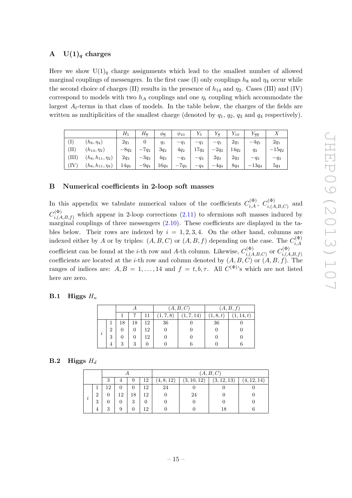## <span id="page-15-0"></span>A  $U(1)<sub>q</sub>$  charges

Here we show  $U(1)<sub>q</sub>$  charge assignments which lead to the smallest number of allowed marginal couplings of messengers. In the first case (I) only couplings  $h_8$  and  $\eta_4$  occur while the second choice of charges (II) results in the presence of  $h_{14}$  and  $\eta_2$ . Cases (III) and (IV) correspond to models with two  $h_A$  couplings and one  $\eta_i$  coupling which accommodate the largest  $A_t$ -terms in that class of models. In the table below, the charges of the fields are written as multiplicities of the smallest charge (denoted by  $q_1$ ,  $q_2$ ,  $q_3$  and  $q_4$  respectively).

|                         |                         | $\,H_5$ | $H_{\overline{\kappa}}$ | $\varphi_{\overline{5}}$ | $\varphi_{10}$                     | $Y_5$   | řπ      | $Y_{10}$ | $Y_{\overline{10}}$ | Λ        |
|-------------------------|-------------------------|---------|-------------------------|--------------------------|------------------------------------|---------|---------|----------|---------------------|----------|
| $\left( \Gamma \right)$ | $(h_8,\eta_4)$          | $2q_1$  |                         | $q_1$                    | $-q_1$                             | $-q_1$  | $-q_1$  | $2q_1$   | $-4q_1$             | $2q_1$   |
| TI)                     | $(h_{14}, \eta_2)$      | $-8q_2$ | 7q2<br>-                | $3q_2$                   | $4q_2$                             | $17q_2$ | $-2q_2$ | $14q_2$  | $q_2$               | $-15q_2$ |
| (III)                   | $(h_8, h_{11}, \eta_2)$ | $2q_3$  | $-3q_3$                 | $4q_3$                   | $-q_3$                             | $-q_3$  | $2q_3$  | $2q_3$   | $-q_3$              | $-q_3$   |
| (IV)                    | $(h_8, h_{11}, \eta_4)$ | $14q_4$ | $-9q_4$                 | $16q_4$                  | $7q_4$<br>$\overline{\phantom{m}}$ | $-q_4$  | $-4q_4$ | $8q_4$   | $-13q_4$            | $5q_4$   |

## <span id="page-15-1"></span>B Numerical coefficients in 2-loop soft masses

In this appendix we tabulate numerical values of the coefficients  $C_{i,A}^{(\Phi)}$ ,  $C_{i,A}^{(\Phi)}$  $i,(A,B,C)$ and  $C^{(\Phi)}_{i\;\ell\;4}$  $i(A,B,f)$  which appear in 2-loop corrections  $(2.11)$  to sfermions soft masses induced by marginal couplings of three messengers  $(2.10)$ . These coefficients are displayed in the tables below. Their rows are indexed by  $i = 1, 2, 3, 4$ . On the other hand, columns are indexed either by A or by triples:  $(A, B, C)$  or  $(A, B, f)$  depending on the case. The  $C_{i, A}^{(\Phi)}$ i,A coefficient can be found at the *i*-th row and *A*-th column. Likewise,  $C_i^{(\Phi)}$  $\sigma^{(\Phi)}_{i,(A,B,C)}$  or  $C^{(\Phi)}_{i,(A)}$  $i,(A,B,f)$ coefficients are located at the *i*-th row and column denoted by  $(A, B, C)$  or  $(A, B, f)$ . The ranges of indices are:  $A, B = 1, ..., 14$  and  $f = t, b, \tau$ . All  $C^{(\Phi)}$ 's which are not listed here are zero.

#### <span id="page-15-2"></span>**B.1** Higgs  $H_u$

|          |                |    |    |    |         | (A, B, C) |      | (A, B, f) |
|----------|----------------|----|----|----|---------|-----------|------|-----------|
|          |                |    |    |    | 1, 7, 8 | 1, 7, 14  | 1,8, | 14, t)    |
|          |                | 18 | 18 | 12 | 36      |           | 36   |           |
| ٠        | $\overline{2}$ |    |    | 12 |         |           |      |           |
| $\imath$ | 3              |    |    | 12 |         |           |      |           |
|          |                | 3  | 3  |    |         |           |      |           |

### <span id="page-15-3"></span>**B.2** Higgs  $H_d$

|                     |   |    |     |         |    |            |             | (A, B, C)   |             |
|---------------------|---|----|-----|---------|----|------------|-------------|-------------|-------------|
|                     |   | 3  | 4   | 9       | 12 | (4, 8, 12) | (3, 10, 12) | (3, 12, 13) | (4, 12, 14) |
|                     |   | 19 |     |         | 12 | 24         |             |             |             |
|                     | ച |    | 19. | 18      | 12 |            | 24          |             |             |
| $\boldsymbol{\eta}$ | 3 |    |     | 9<br>IJ |    |            |             |             |             |
|                     | 4 | 3  | 9   |         | 12 |            |             |             |             |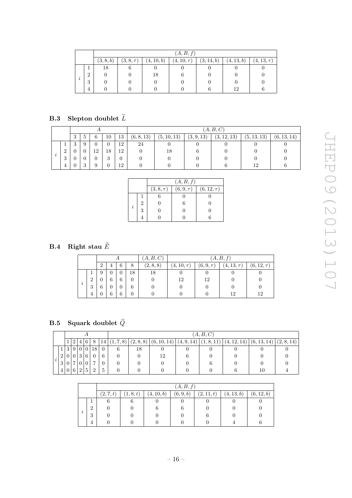|                     |          |           |                |            | (A, B, f)       |            |            |                 |
|---------------------|----------|-----------|----------------|------------|-----------------|------------|------------|-----------------|
|                     |          | (3, 8, b) | $(3, 8, \tau)$ | (4, 10, b) | $(4, 10, \tau)$ | (3, 14, b) | (4, 13, b) | $(4, 13, \tau)$ |
|                     |          | 18        |                |            |                 |            |            |                 |
|                     | $\Omega$ |           |                | 18         |                 |            |            |                 |
| $\boldsymbol{\eta}$ | 3        |           |                |            |                 |            |            |                 |
|                     | 4        |           |                |            |                 |            | 12         |                 |

# <span id="page-16-0"></span>B.3 Slepton doublet  $\widetilde{L}$

|    |               |         |                |    |    |     |            |             |            | (A, B, C)   |           |             |
|----|---------------|---------|----------------|----|----|-----|------------|-------------|------------|-------------|-----------|-------------|
|    |               | 3       | $\mathcal{D}$  | 6  | 10 | 13  | (6, 8, 13) | (5, 10, 13) | (3, 9, 13) | (3, 12, 13) | (5,13,13) | (6, 13, 14) |
|    |               | ാ<br>IJ | 9              | 0  | O  | 12  | 24         |             |            |             |           |             |
|    | $\Omega$<br>∠ |         |                | 19 | 18 | 12  |            | 18          |            |             |           |             |
| 7, | 3             |         |                |    | ð  |     |            |             |            |             |           |             |
|    | 4             |         | $\Omega$<br>٠J | 9  |    | 1 ດ |            |             |            |             | 19        |             |

|   |   |                | (A, B, f)    |                 |
|---|---|----------------|--------------|-----------------|
|   |   | $(3, 8, \tau)$ | $(6,9,\tau)$ | $(6, 12, \tau)$ |
|   |   |                |              |                 |
|   | 2 |                |              |                 |
| i | 3 |                |              |                 |
|   |   |                |              |                 |

# <span id="page-16-1"></span>B.4 Right stau  $\widetilde{E}$

|          |          |                |   |   |    | (A, B, C) |               |              | (A, B, f)       |                 |
|----------|----------|----------------|---|---|----|-----------|---------------|--------------|-----------------|-----------------|
|          |          | $\overline{2}$ |   | 6 | 8  | (2, 8, 8) | $(4,10,\tau)$ | $(6,9,\tau)$ | $(4, 13, \tau)$ | $(6, 12, \tau)$ |
|          |          | 9              |   |   | 18 | 18        |               |              |                 |                 |
| ٠        | $\Omega$ |                | 6 | 6 |    |           | 12            | 12           |                 |                 |
| $\imath$ | 3        | 6              |   |   | 6  |           |               |              |                 |                 |
|          | 4        |                | 6 | 6 | 0  |           |               |              | 12              | 12              |

# <span id="page-16-2"></span>B.5 Squark doublet  $\widetilde{Q}$

|          |                |                 |             |                | Α              |                |                |                             | (A, B, C) |             |            |            |             |             |            |  |  |  |
|----------|----------------|-----------------|-------------|----------------|----------------|----------------|----------------|-----------------------------|-----------|-------------|------------|------------|-------------|-------------|------------|--|--|--|
|          |                |                 | 1 2         | 4              | 6              | 8              | 14 I           | $\overline{ }$<br>(1, 7, 8) | (2,8,8)   | (6, 10, 14) | (4, 9, 14) | (1, 8, 11) | (4, 12, 14) | (6, 13, 14) | (2, 8, 14) |  |  |  |
|          |                | 3               | 9           | $\overline{0}$ | $\overline{0}$ | 18             | $\overline{0}$ | 6                           | 18        |             |            |            |             |             |            |  |  |  |
|          | $\overline{2}$ |                 |             | 3              | 6              |                | 6              | $\overline{0}$              |           | 12          |            |            |             |             |            |  |  |  |
| $\imath$ | 3 <sup>1</sup> | $\vert 0 \vert$ | 7           | $\theta$       | $\overline{0}$ |                | $\overline{0}$ |                             |           |             |            | n          |             |             |            |  |  |  |
|          | 41             | 0 <sup>1</sup>  | $6^{\circ}$ | $\overline{2}$ | $\mathcal{L}$  | $\overline{2}$ | $\ddot{o}$     | 0                           |           |             |            |            | 6           | 10          |            |  |  |  |

|                     |   |           | (A, B, f) |            |           |            |            |            |  |  |  |  |  |  |  |  |
|---------------------|---|-----------|-----------|------------|-----------|------------|------------|------------|--|--|--|--|--|--|--|--|
|                     |   | (2, 7, t) | (1, 8, t) | (4, 10, b) | (6, 9, b) | (2, 11, t) | (4, 13, b) | (6, 12, b) |  |  |  |  |  |  |  |  |
|                     |   |           |           |            |           |            |            |            |  |  |  |  |  |  |  |  |
|                     | ച |           |           |            |           |            |            |            |  |  |  |  |  |  |  |  |
| $\overline{\imath}$ | 3 |           |           |            |           |            |            |            |  |  |  |  |  |  |  |  |
|                     | 4 |           |           |            |           |            |            |            |  |  |  |  |  |  |  |  |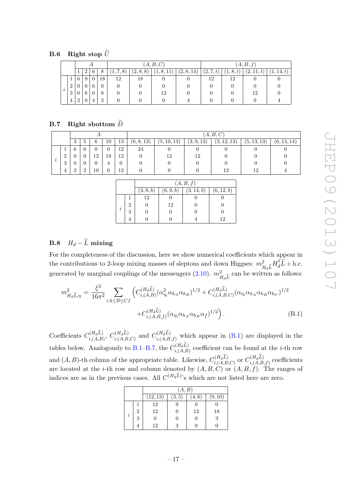# <span id="page-17-0"></span>B.6 Right stop  $\widetilde{U}$

|  |                |                |                |                 |          |         |           | (A, B, C)  | (A, B, f)  |           |           |            |            |
|--|----------------|----------------|----------------|-----------------|----------|---------|-----------|------------|------------|-----------|-----------|------------|------------|
|  |                |                | 2              | 6               | 8        | 1, 7, 8 | (2, 8, 8) | (1, 8, 11) | (2, 8, 14) | (2, 7, t) | (1, 8, t) | (2, 11, t) | (1, 14, t) |
|  |                | 6              | 9 <sub>1</sub> | $\vert 0 \vert$ | 18       | 12      | 18        |            |            | 12        | 12        |            |            |
|  | $\overline{2}$ | $\overline{0}$ | $\overline{0}$ | 6               | $\theta$ |         |           |            |            |           |           |            |            |
|  | 3              |                | 8              |                 | 8        |         |           | 12         |            |           |           | 12         |            |
|  | 4              | $\overline{2}$ | $\overline{0}$ | 4               | 2        |         |           |            |            |           |           |            |            |

## <span id="page-17-1"></span>B.7 Right sbottom  $\widetilde{D}$

|                |          |          |          |    |    | (A, B, C)  |             |            |             |             |             |  |
|----------------|----------|----------|----------|----|----|------------|-------------|------------|-------------|-------------|-------------|--|
|                | Ő        | $\circ$  | 6        | 10 | 13 | (6, 8, 13) | (5, 10, 13) | (3, 9, 13) | (3, 12, 13) | (5, 13, 13) | (6, 13, 14) |  |
|                | 6        | 6        | $\theta$ |    | 12 | 24         |             |            |             |             |             |  |
| $\overline{2}$ |          |          | 12       | 18 | 12 |            | 12          | 12         |             |             |             |  |
| 3              |          |          |          | 4  |    |            |             |            |             |             |             |  |
| 4              | $\Omega$ | $\Omega$ | 10       |    | 12 |            |             |            | 19          | 12          |             |  |

|          |   | (A, B, f) |           |            |            |  |  |  |
|----------|---|-----------|-----------|------------|------------|--|--|--|
|          |   | (3, 8, b) | (6, 9, b) | (3, 14, b) | (6, 12, b) |  |  |  |
|          |   | 12        |           |            |            |  |  |  |
|          | 2 |           | 12        |            |            |  |  |  |
| $\imath$ | 3 |           |           |            |            |  |  |  |
|          |   |           |           |            | 19         |  |  |  |

# <span id="page-17-2"></span>B.8  $H_d - \widetilde{L}$  mixing

For the completeness of the discussion, here we show numerical coefficients which appear in the contributions to 2-loop mixing masses of sleptons and down Higgses:  $m_{H_d\tilde{L}}^2 H_d^{\dagger} \tilde{L} + \text{h.c.}$ generated by marginal couplings of the messengers  $(2.10)$ .  $m<sub>1</sub><sup>2</sup>$  $\int_{H_d}^2 \tilde{L}$  can be written as follows:

<span id="page-17-3"></span>
$$
m_{H_d\tilde{L},\eta}^2 = \frac{\xi^2}{16\pi^2} \sum_{iA \le B \le Cf} \left( C_{i,(A,B)}^{(H_d\tilde{L})} (\alpha_{\eta_i}^2 \alpha_{h_A} \alpha_{h_B})^{1/2} + C_{i,(A,B,C)}^{(H_d\tilde{L})} (\alpha_{\eta_i} \alpha_{h_A} \alpha_{h_B} \alpha_{h_C})^{1/2} + C_{i,(A,B,f)}^{(H_d\tilde{L})} (\alpha_{\eta_i} \alpha_{h_A} \alpha_{h_B} \alpha_f)^{1/2} \right).
$$
(B.1)

Coefficients  $C_{i,(A,B)}^{(H_a L)}$ ,  $C_{i,(A,B,C)}^{(H_a L)}$  and  $C_{i,(A,B,f)}^{(H_a L)}$  which appear in [\(B.1\)](#page-17-3) are displayed in the tables below. Analogously to [B.1–](#page-15-2)[B.7,](#page-17-1) the  $C_{i,(A,B)}^{(H_a L)}$  coefficient can be found at the *i*-th row and  $(A, B)$ -th column of the appropriate table. Likewise,  $C^{(H_d L)}_{i,(A,B,C)}$  or  $C^{(H_d L)}_{i,(A,B,f)}$  coefficients are located at the *i*-th row and column denoted by  $(A, B, C)$  or  $(A, B, f)$ . The ranges of indices are as in the previous cases. All  $C^{(H_dL)}$ 's which are not listed here are zero.

|           |                |          | (A, B) |       |         |
|-----------|----------------|----------|--------|-------|---------|
|           |                | (12, 13) | (3, 5) | (4,6) | (9, 10) |
|           |                | 12       | 9      |       |         |
| $\dot{i}$ | $\overline{2}$ | 12       | 0      | 12    | 18      |
|           | 3              |          |        | 0     | 3       |
|           |                | 12       | 3      |       |         |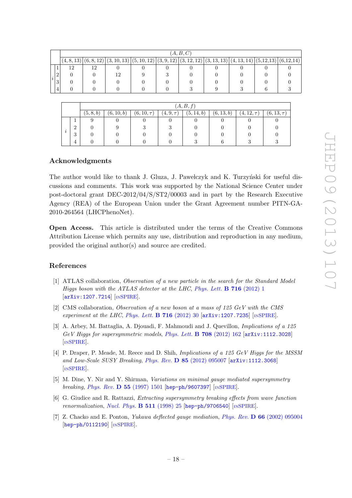| (A, B, C) |            |            |             |             |  |  |                                                                |  |  |  |
|-----------|------------|------------|-------------|-------------|--|--|----------------------------------------------------------------|--|--|--|
|           | (4, 8, 13) | (6, 8, 12) | (3, 10, 13) | (5, 10, 12) |  |  | $ (3,9,12) (3,12,12) (3,13,13) (4,13,14) (5,12,13) (6,12,14) $ |  |  |  |
|           | 19         | 12         |             |             |  |  |                                                                |  |  |  |
| റ         |            |            | 19          |             |  |  |                                                                |  |  |  |
| ച<br>⊍    |            |            |             |             |  |  |                                                                |  |  |  |
| 4         |            |            |             |             |  |  |                                                                |  |  |  |

|   |                | (A, B, f) |            |                 |                |            |            |                 |                 |  |  |  |
|---|----------------|-----------|------------|-----------------|----------------|------------|------------|-----------------|-----------------|--|--|--|
|   |                | (5, 8, b) | (6, 10, b) | $(6, 10, \tau)$ | $(4, 9, \tau)$ | (5, 14, b) | (6, 13, b) | $(4, 12, \tau)$ | $(6, 13, \tau)$ |  |  |  |
|   |                |           |            |                 |                |            |            |                 |                 |  |  |  |
|   | $\Omega$       |           |            |                 |                |            |            |                 |                 |  |  |  |
| ı | $\Omega$<br>J. |           |            |                 |                |            |            |                 |                 |  |  |  |
|   | 4              |           |            |                 |                |            |            |                 |                 |  |  |  |

## Acknowledgments

The author would like to thank J. Gluza, J. Pawerczyk and K. Turzyński for useful discussions and comments. This work was supported by the National Science Center under post-doctoral grant DEC-2012/04/S/ST2/00003 and in part by the Research Executive Agency (REA) of the European Union under the Grant Agreement number PITN-GA-2010-264564 (LHCPhenoNet).

Open Access. This article is distributed under the terms of the Creative Commons Attribution License which permits any use, distribution and reproduction in any medium, provided the original author(s) and source are credited.

## References

- <span id="page-18-0"></span>[1] ATLAS collaboration, Observation of a new particle in the search for the Standard Model Higgs boson with the ATLAS detector at the LHC, [Phys. Lett.](http://dx.doi.org/10.1016/j.physletb.2012.08.020)  $\bf{B}$  716 (2012) 1 [[arXiv:1207.7214](http://arxiv.org/abs/1207.7214)] [IN[SPIRE](http://inspirehep.net/search?p=find+EPRINT+arXiv:1207.7214)].
- <span id="page-18-1"></span>[2] CMS collaboration, Observation of a new boson at a mass of 125 GeV with the CMS experiment at the LHC, [Phys. Lett.](http://dx.doi.org/10.1016/j.physletb.2012.08.021) **B** 716 (2012) 30  $\left[$ [arXiv:1207.7235](http://arxiv.org/abs/1207.7235) $\right]$  [IN[SPIRE](http://inspirehep.net/search?p=find+EPRINT+arXiv:1207.7235)].
- <span id="page-18-2"></span>[3] A. Arbey, M. Battaglia, A. Djouadi, F. Mahmoudi and J. Quevillon, Implications of a 125  $GeV$  Higgs for supersymmetric models, [Phys. Lett.](http://dx.doi.org/10.1016/j.physletb.2012.01.053) **B** 708 (2012) 162  $[\text{arXiv}:1112.3028]$ [IN[SPIRE](http://inspirehep.net/search?p=find+EPRINT+arXiv:1112.3028)].
- <span id="page-18-3"></span>[4] P. Draper, P. Meade, M. Reece and D. Shih, Implications of a 125 GeV Higgs for the MSSM and Low-Scale SUSY Breaking, Phys. Rev. D 85 [\(2012\) 095007](http://dx.doi.org/10.1103/PhysRevD.85.095007) [[arXiv:1112.3068](http://arxiv.org/abs/1112.3068)] [IN[SPIRE](http://inspirehep.net/search?p=find+EPRINT+arXiv:1112.3068)].
- <span id="page-18-4"></span>[5] M. Dine, Y. Nir and Y. Shirman, Variations on minimal gauge mediated supersymmetry breaking, Phys. Rev. D 55 [\(1997\) 1501](http://dx.doi.org/10.1103/PhysRevD.55.1501) [[hep-ph/9607397](http://arxiv.org/abs/hep-ph/9607397)] [IN[SPIRE](http://inspirehep.net/search?p=find+EPRINT+hep-ph/9607397)].
- <span id="page-18-5"></span>[6] G. Giudice and R. Rattazzi, Extracting supersymmetry breaking effects from wave function renormalization, [Nucl. Phys.](http://dx.doi.org/10.1016/S0550-3213(97)00647-0) B 511 (1998) 25 [[hep-ph/9706540](http://arxiv.org/abs/hep-ph/9706540)] [IN[SPIRE](http://inspirehep.net/search?p=find+EPRINT+hep-ph/9706540)].
- [7] Z. Chacko and E. Ponton, *Yukawa deflected gauge mediation, Phys. Rev.* **D 66** [\(2002\) 095004](http://dx.doi.org/10.1103/PhysRevD.66.095004) [[hep-ph/0112190](http://arxiv.org/abs/hep-ph/0112190)] [IN[SPIRE](http://inspirehep.net/search?p=find+EPRINT+hep-ph/0112190)].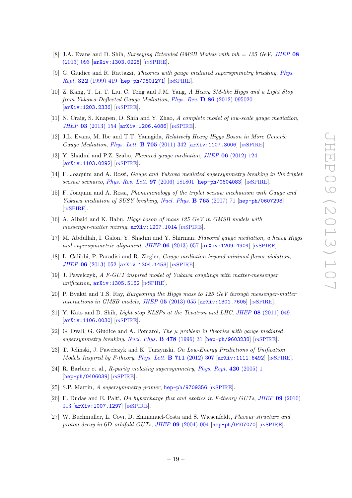- <span id="page-19-0"></span>[8] J.A. Evans and D. Shih, Surveying Extended GMSB Models with  $mh = 125 \text{ GeV}$ , [JHEP](http://dx.doi.org/10.1007/JHEP08(2013)093) 08 [\(2013\) 093](http://dx.doi.org/10.1007/JHEP08(2013)093) [[arXiv:1303.0228](http://arxiv.org/abs/1303.0228)] [IN[SPIRE](http://inspirehep.net/search?p=find+EPRINT+arXiv:1303.0228)].
- <span id="page-19-1"></span>[9] G. Giudice and R. Rattazzi, Theories with gauge mediated supersymmetry breaking, [Phys.](http://dx.doi.org/10.1016/S0370-1573(99)00042-3) Rept. 322 [\(1999\) 419](http://dx.doi.org/10.1016/S0370-1573(99)00042-3) [[hep-ph/9801271](http://arxiv.org/abs/hep-ph/9801271)] [IN[SPIRE](http://inspirehep.net/search?p=find+EPRINT+hep-ph/9801271)].
- <span id="page-19-2"></span>[10] Z. Kang, T. Li, T. Liu, C. Tong and J.M. Yang, A Heavy SM-like Higgs and a Light Stop from Yukawa-Deflected Gauge Mediation, Phys. Rev. D 86 [\(2012\) 095020](http://dx.doi.org/10.1103/PhysRevD.86.095020) [[arXiv:1203.2336](http://arxiv.org/abs/1203.2336)] [IN[SPIRE](http://inspirehep.net/search?p=find+EPRINT+arXiv:1203.2336)].
- <span id="page-19-3"></span>[11] N. Craig, S. Knapen, D. Shih and Y. Zhao, A complete model of low-scale gauge mediation, JHEP 03 [\(2013\) 154](http://dx.doi.org/10.1007/JHEP03(2013)154) [[arXiv:1206.4086](http://arxiv.org/abs/1206.4086)] [IN[SPIRE](http://inspirehep.net/search?p=find+EPRINT+arXiv:1206.4086)].
- <span id="page-19-4"></span>[12] J.L. Evans, M. Ibe and T.T. Yanagida, Relatively Heavy Higgs Boson in More Generic Gauge Mediation, [Phys. Lett.](http://dx.doi.org/10.1016/j.physletb.2011.10.031) **B 705** (2011) 342 [[arXiv:1107.3006](http://arxiv.org/abs/1107.3006)] [IN[SPIRE](http://inspirehep.net/search?p=find+EPRINT+arXiv:1107.3006)].
- <span id="page-19-5"></span>[13] Y. Shadmi and P.Z. Szabo, Flavored gauge-mediation, JHEP 06 [\(2012\) 124](http://dx.doi.org/10.1007/JHEP06(2012)124) [[arXiv:1103.0292](http://arxiv.org/abs/1103.0292)] [IN[SPIRE](http://inspirehep.net/search?p=find+EPRINT+arXiv:1103.0292)].
- [14] F. Joaquim and A. Rossi, Gauge and Yukawa mediated supersymmetry breaking in the triplet seesaw scenario, [Phys. Rev. Lett.](http://dx.doi.org/10.1103/PhysRevLett.97.181801) 97 (2006) 181801 [[hep-ph/0604083](http://arxiv.org/abs/hep-ph/0604083)] [IN[SPIRE](http://inspirehep.net/search?p=find+EPRINT+hep-ph/0604083)].
- [15] F. Joaquim and A. Rossi, Phenomenology of the triplet seesaw mechanism with Gauge and Yukawa mediation of SUSY breaking, [Nucl. Phys.](http://dx.doi.org/10.1016/j.nuclphysb.2006.11.030) **B 765** (2007) 71 [[hep-ph/0607298](http://arxiv.org/abs/hep-ph/0607298)] [IN[SPIRE](http://inspirehep.net/search?p=find+EPRINT+hep-ph/0607298)].
- [16] A. Albaid and K. Babu, Higgs boson of mass 125 GeV in GMSB models with messenger-matter mixing,  $arXiv:1207.1014$  [IN[SPIRE](http://inspirehep.net/search?p=find+EPRINT+arXiv:1207.1014)].
- [17] M. Abdullah, I. Galon, Y. Shadmi and Y. Shirman, Flavored gauge mediation, a heavy Higgs and supersymmetric alignment, JHEP  $06$  [\(2013\) 057](http://dx.doi.org/10.1007/JHEP06(2013)057) [[arXiv:1209.4904](http://arxiv.org/abs/1209.4904)] [IN[SPIRE](http://inspirehep.net/search?p=find+EPRINT+arXiv:1209.4904)].
- [18] L. Calibbi, P. Paradisi and R. Ziegler, Gauge mediation beyond minimal flavor violation, JHEP 06 [\(2013\) 052](http://dx.doi.org/10.1007/JHEP06(2013)052) [[arXiv:1304.1453](http://arxiv.org/abs/1304.1453)] [IN[SPIRE](http://inspirehep.net/search?p=find+EPRINT+arXiv:1304.1453)].
- <span id="page-19-6"></span>[19] J. Pawełczyk, A F-GUT inspired model of Yukawa couplings with matter-messenger unification, [arXiv:1305.5162](http://arxiv.org/abs/1305.5162) [IN[SPIRE](http://inspirehep.net/search?p=find+EPRINT+arXiv:1305.5162)].
- <span id="page-19-7"></span>[20] P. Byakti and T.S. Ray, Burgeoning the Higgs mass to 125 GeV through messenger-matter interactions in GMSB models, JHEP  $05$  [\(2013\) 055](http://dx.doi.org/10.1007/JHEP05(2013)055)  $arXiv:1301.7605$  [IN[SPIRE](http://inspirehep.net/search?p=find+EPRINT+arXiv:1301.7605)].
- <span id="page-19-8"></span>[21] Y. Kats and D. Shih, Light stop NLSPs at the Tevatron and LHC, JHEP 08 [\(2011\) 049](http://dx.doi.org/10.1007/JHEP08(2011)049) [[arXiv:1106.0030](http://arxiv.org/abs/1106.0030)] [IN[SPIRE](http://inspirehep.net/search?p=find+EPRINT+arXiv:1106.0030)].
- <span id="page-19-9"></span>[22] G. Dvali, G. Giudice and A. Pomarol, The  $\mu$  problem in theories with gauge mediated supersymmetry breaking, [Nucl. Phys.](http://dx.doi.org/10.1016/0550-3213(96)00404-X) B 478 (1996) 31 [[hep-ph/9603238](http://arxiv.org/abs/hep-ph/9603238)] [IN[SPIRE](http://inspirehep.net/search?p=find+EPRINT+hep-ph/9603238)].
- <span id="page-19-10"></span>[23] T. Jelinski, J. Pawełczyk and K. Turzynski, On Low-Energy Predictions of Unification *Models Inspired by F-theory, [Phys. Lett.](http://dx.doi.org/10.1016/j.physletb.2012.04.011)* **B** 711 (2012) 307  $\left[\text{arXiv:1111.6492}\right]$  $\left[\text{arXiv:1111.6492}\right]$  $\left[\text{arXiv:1111.6492}\right]$   $\left[\text{nsPIRE}\right]$ .
- <span id="page-19-12"></span>[24] R. Barbier et al., R-parity violating supersymmetry, [Phys. Rept.](http://dx.doi.org/10.1016/j.physrep.2005.08.006) 420 (2005) 1 [[hep-ph/0406039](http://arxiv.org/abs/hep-ph/0406039)] [IN[SPIRE](http://inspirehep.net/search?p=find+EPRINT+hep-ph/0406039)].
- <span id="page-19-11"></span>[25] S.P. Martin, A supersymmetry primer, [hep-ph/9709356](http://arxiv.org/abs/hep-ph/9709356) [IN[SPIRE](http://inspirehep.net/search?p=find+EPRINT+hep-ph/9709356)].
- <span id="page-19-13"></span>[26] E. Dudas and E. Palti, On hypercharge flux and exotics in F-theory GUTs, JHEP 09 [\(2010\)](http://dx.doi.org/10.1007/JHEP09(2010)013) [013](http://dx.doi.org/10.1007/JHEP09(2010)013) [[arXiv:1007.1297](http://arxiv.org/abs/1007.1297)] [IN[SPIRE](http://inspirehep.net/search?p=find+EPRINT+arXiv:1007.1297)].
- <span id="page-19-14"></span>[27] W. Buchmüller, L. Covi, D. Emmanuel-Costa and S. Wiesenfeldt, Flavour structure and proton decay in 6D orbifold GUTs, JHEP  $09$  [\(2004\) 004](http://dx.doi.org/10.1088/1126-6708/2004/09/004) [[hep-ph/0407070](http://arxiv.org/abs/hep-ph/0407070)] [IN[SPIRE](http://inspirehep.net/search?p=find+EPRINT+hep-ph/0407070)].